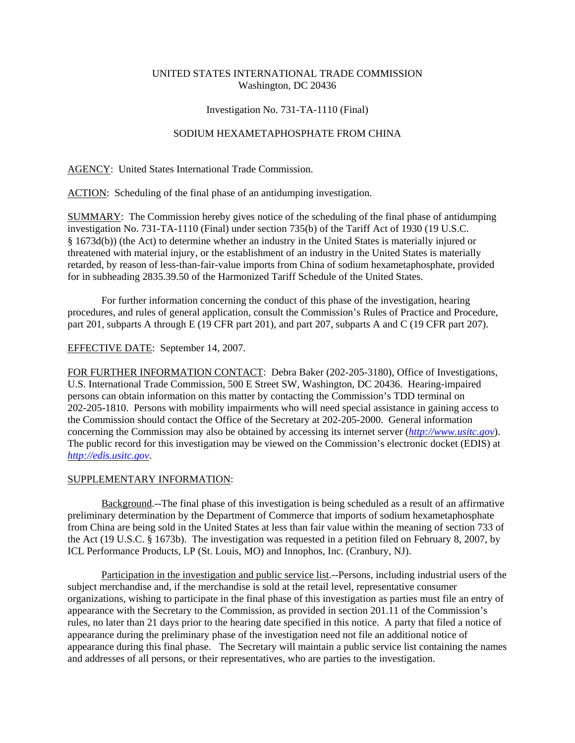# UNITED STATES INTERNATIONAL TRADE COMMISSION Washington, DC 20436

### Investigation No. 731-TA-1110 (Final)

## SODIUM HEXAMETAPHOSPHATE FROM CHINA

AGENCY: United States International Trade Commission.

ACTION: Scheduling of the final phase of an antidumping investigation.

SUMMARY: The Commission hereby gives notice of the scheduling of the final phase of antidumping investigation No. 731-TA-1110 (Final) under section 735(b) of the Tariff Act of 1930 (19 U.S.C. § 1673d(b)) (the Act) to determine whether an industry in the United States is materially injured or threatened with material injury, or the establishment of an industry in the United States is materially retarded, by reason of less-than-fair-value imports from China of sodium hexametaphosphate, provided for in subheading 2835.39.50 of the Harmonized Tariff Schedule of the United States.

For further information concerning the conduct of this phase of the investigation, hearing procedures, and rules of general application, consult the Commission's Rules of Practice and Procedure, part 201, subparts A through E (19 CFR part 201), and part 207, subparts A and C (19 CFR part 207).

#### EFFECTIVE DATE: September 14, 2007.

FOR FURTHER INFORMATION CONTACT: Debra Baker (202-205-3180), Office of Investigations, U.S. International Trade Commission, 500 E Street SW, Washington, DC 20436. Hearing-impaired persons can obtain information on this matter by contacting the Commission's TDD terminal on 202-205-1810. Persons with mobility impairments who will need special assistance in gaining access to the Commission should contact the Office of the Secretary at 202-205-2000. General information concerning the Commission may also be obtained by accessing its internet server (*http://www.usitc.gov*). The public record for this investigation may be viewed on the Commission's electronic docket (EDIS) at *http://edis.usitc.gov*.

## SUPPLEMENTARY INFORMATION:

Background.--The final phase of this investigation is being scheduled as a result of an affirmative preliminary determination by the Department of Commerce that imports of sodium hexametaphosphate from China are being sold in the United States at less than fair value within the meaning of section 733 of the Act (19 U.S.C. § 1673b). The investigation was requested in a petition filed on February 8, 2007, by ICL Performance Products, LP (St. Louis, MO) and Innophos, Inc. (Cranbury, NJ).

Participation in the investigation and public service list.--Persons, including industrial users of the subject merchandise and, if the merchandise is sold at the retail level, representative consumer organizations, wishing to participate in the final phase of this investigation as parties must file an entry of appearance with the Secretary to the Commission, as provided in section 201.11 of the Commission's rules, no later than 21 days prior to the hearing date specified in this notice. A party that filed a notice of appearance during the preliminary phase of the investigation need not file an additional notice of appearance during this final phase. The Secretary will maintain a public service list containing the names and addresses of all persons, or their representatives, who are parties to the investigation.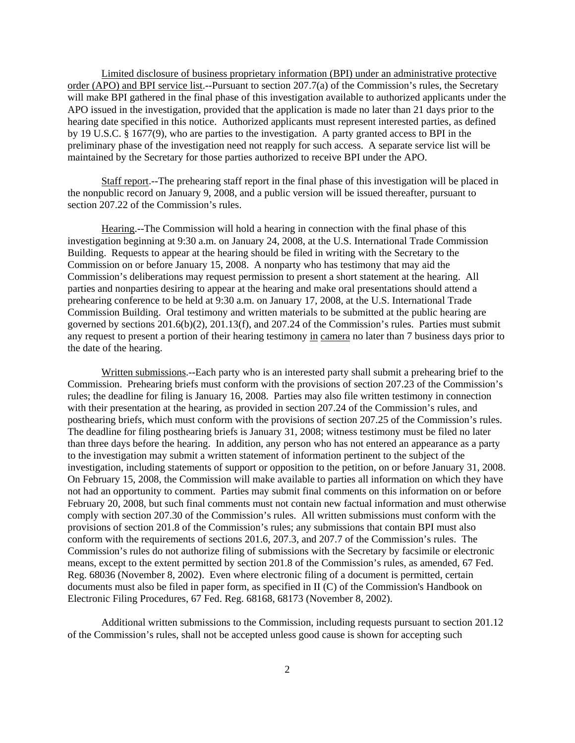Limited disclosure of business proprietary information (BPI) under an administrative protective order (APO) and BPI service list.--Pursuant to section 207.7(a) of the Commission's rules, the Secretary will make BPI gathered in the final phase of this investigation available to authorized applicants under the APO issued in the investigation, provided that the application is made no later than 21 days prior to the hearing date specified in this notice. Authorized applicants must represent interested parties, as defined by 19 U.S.C. § 1677(9), who are parties to the investigation. A party granted access to BPI in the preliminary phase of the investigation need not reapply for such access. A separate service list will be maintained by the Secretary for those parties authorized to receive BPI under the APO.

Staff report.--The prehearing staff report in the final phase of this investigation will be placed in the nonpublic record on January 9, 2008, and a public version will be issued thereafter, pursuant to section 207.22 of the Commission's rules.

Hearing.--The Commission will hold a hearing in connection with the final phase of this investigation beginning at 9:30 a.m. on January 24, 2008, at the U.S. International Trade Commission Building. Requests to appear at the hearing should be filed in writing with the Secretary to the Commission on or before January 15, 2008. A nonparty who has testimony that may aid the Commission's deliberations may request permission to present a short statement at the hearing. All parties and nonparties desiring to appear at the hearing and make oral presentations should attend a prehearing conference to be held at 9:30 a.m. on January 17, 2008, at the U.S. International Trade Commission Building. Oral testimony and written materials to be submitted at the public hearing are governed by sections 201.6(b)(2), 201.13(f), and 207.24 of the Commission's rules. Parties must submit any request to present a portion of their hearing testimony in camera no later than 7 business days prior to the date of the hearing.

Written submissions.--Each party who is an interested party shall submit a prehearing brief to the Commission. Prehearing briefs must conform with the provisions of section 207.23 of the Commission's rules; the deadline for filing is January 16, 2008. Parties may also file written testimony in connection with their presentation at the hearing, as provided in section 207.24 of the Commission's rules, and posthearing briefs, which must conform with the provisions of section 207.25 of the Commission's rules. The deadline for filing posthearing briefs is January 31, 2008; witness testimony must be filed no later than three days before the hearing. In addition, any person who has not entered an appearance as a party to the investigation may submit a written statement of information pertinent to the subject of the investigation, including statements of support or opposition to the petition, on or before January 31, 2008. On February 15, 2008, the Commission will make available to parties all information on which they have not had an opportunity to comment. Parties may submit final comments on this information on or before February 20, 2008, but such final comments must not contain new factual information and must otherwise comply with section 207.30 of the Commission's rules. All written submissions must conform with the provisions of section 201.8 of the Commission's rules; any submissions that contain BPI must also conform with the requirements of sections 201.6, 207.3, and 207.7 of the Commission's rules. The Commission's rules do not authorize filing of submissions with the Secretary by facsimile or electronic means, except to the extent permitted by section 201.8 of the Commission's rules, as amended, 67 Fed. Reg. 68036 (November 8, 2002). Even where electronic filing of a document is permitted, certain documents must also be filed in paper form, as specified in II (C) of the Commission's Handbook on Electronic Filing Procedures, 67 Fed. Reg. 68168, 68173 (November 8, 2002).

Additional written submissions to the Commission, including requests pursuant to section 201.12 of the Commission's rules, shall not be accepted unless good cause is shown for accepting such